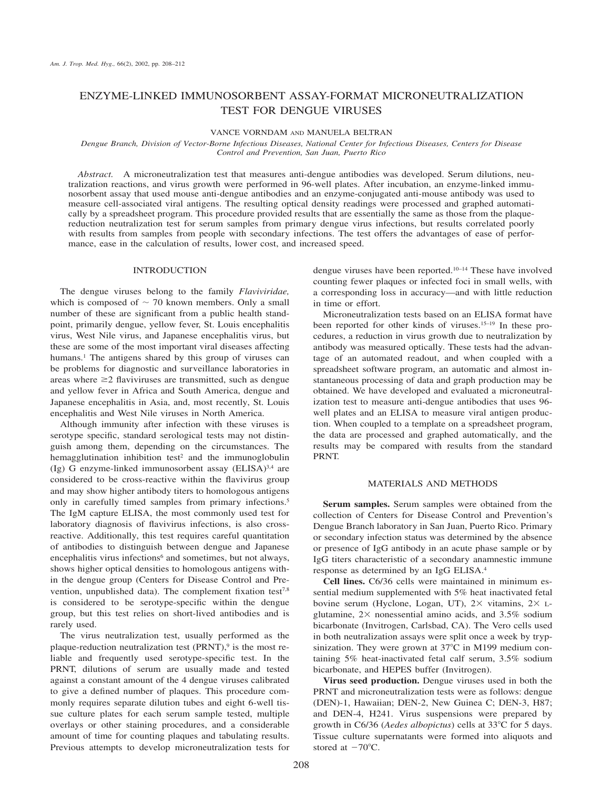# ENZYME-LINKED IMMUNOSORBENT ASSAY-FORMAT MICRONEUTRALIZATION TEST FOR DENGUE VIRUSES

VANCE VORNDAM AND MANUELA BELTRAN

*Dengue Branch, Division of Vector-Borne Infectious Diseases, National Center for Infectious Diseases, Centers for Disease Control and Prevention, San Juan, Puerto Rico*

*Abstract.* A microneutralization test that measures anti-dengue antibodies was developed. Serum dilutions, neutralization reactions, and virus growth were performed in 96-well plates. After incubation, an enzyme-linked immunosorbent assay that used mouse anti-dengue antibodies and an enzyme-conjugated anti-mouse antibody was used to measure cell-associated viral antigens. The resulting optical density readings were processed and graphed automatically by a spreadsheet program. This procedure provided results that are essentially the same as those from the plaquereduction neutralization test for serum samples from primary dengue virus infections, but results correlated poorly with results from samples from people with secondary infections. The test offers the advantages of ease of performance, ease in the calculation of results, lower cost, and increased speed.

## INTRODUCTION

The dengue viruses belong to the family *Flaviviridae,* which is composed of  $\sim$  70 known members. Only a small number of these are significant from a public health standpoint, primarily dengue, yellow fever, St. Louis encephalitis virus, West Nile virus, and Japanese encephalitis virus, but these are some of the most important viral diseases affecting humans.<sup>1</sup> The antigens shared by this group of viruses can be problems for diagnostic and surveillance laboratories in areas where  $\geq$ 2 flaviviruses are transmitted, such as dengue and yellow fever in Africa and South America, dengue and Japanese encephalitis in Asia, and, most recently, St. Louis encephalitis and West Nile viruses in North America.

Although immunity after infection with these viruses is serotype specific, standard serological tests may not distinguish among them, depending on the circumstances. The hemagglutination inhibition test<sup>2</sup> and the immunoglobulin (Ig) G enzyme-linked immunosorbent assay (ELISA)3,4 are considered to be cross-reactive within the flavivirus group and may show higher antibody titers to homologous antigens only in carefully timed samples from primary infections.<sup>5</sup> The IgM capture ELISA, the most commonly used test for laboratory diagnosis of flavivirus infections, is also crossreactive. Additionally, this test requires careful quantitation of antibodies to distinguish between dengue and Japanese encephalitis virus infections<sup>6</sup> and sometimes, but not always, shows higher optical densities to homologous antigens within the dengue group (Centers for Disease Control and Prevention, unpublished data). The complement fixation test<sup>7,8</sup> is considered to be serotype-specific within the dengue group, but this test relies on short-lived antibodies and is rarely used.

The virus neutralization test, usually performed as the plaque-reduction neutralization test  $(PRNT)$ ,<sup>9</sup> is the most reliable and frequently used serotype-specific test. In the PRNT, dilutions of serum are usually made and tested against a constant amount of the 4 dengue viruses calibrated to give a defined number of plaques. This procedure commonly requires separate dilution tubes and eight 6-well tissue culture plates for each serum sample tested, multiple overlays or other staining procedures, and a considerable amount of time for counting plaques and tabulating results. Previous attempts to develop microneutralization tests for

dengue viruses have been reported.10–14 These have involved counting fewer plaques or infected foci in small wells, with a corresponding loss in accuracy—and with little reduction in time or effort.

Microneutralization tests based on an ELISA format have been reported for other kinds of viruses.15–19 In these procedures, a reduction in virus growth due to neutralization by antibody was measured optically. These tests had the advantage of an automated readout, and when coupled with a spreadsheet software program, an automatic and almost instantaneous processing of data and graph production may be obtained. We have developed and evaluated a microneutralization test to measure anti-dengue antibodies that uses 96 well plates and an ELISA to measure viral antigen production. When coupled to a template on a spreadsheet program, the data are processed and graphed automatically, and the results may be compared with results from the standard PRNT.

## MATERIALS AND METHODS

**Serum samples.** Serum samples were obtained from the collection of Centers for Disease Control and Prevention's Dengue Branch laboratory in San Juan, Puerto Rico. Primary or secondary infection status was determined by the absence or presence of IgG antibody in an acute phase sample or by IgG titers characteristic of a secondary anamnestic immune response as determined by an IgG ELISA.4

**Cell lines.** C6/36 cells were maintained in minimum essential medium supplemented with 5% heat inactivated fetal bovine serum (Hyclone, Logan, UT),  $2 \times$  vitamins,  $2 \times$  Lglutamine,  $2 \times$  nonessential amino acids, and  $3.5\%$  sodium bicarbonate (Invitrogen, Carlsbad, CA). The Vero cells used in both neutralization assays were split once a week by trypsinization. They were grown at  $37^{\circ}$ C in M199 medium containing 5% heat-inactivated fetal calf serum, 3.5% sodium bicarbonate, and HEPES buffer (Invitrogen).

**Virus seed production.** Dengue viruses used in both the PRNT and microneutralization tests were as follows: dengue (DEN)-1, Hawaiian; DEN-2, New Guinea C; DEN-3, H87; and DEN-4, H241. Virus suspensions were prepared by growth in C6/36 (*Aedes albopictus*) cells at 33°C for 5 days. Tissue culture supernatants were formed into aliquots and stored at  $-70^{\circ}$ C.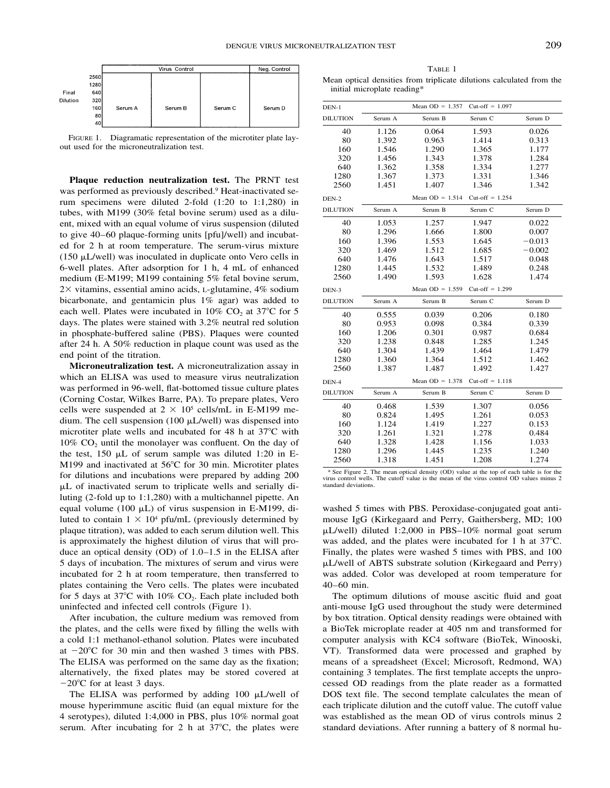

FIGURE 1. Diagramatic representation of the microtiter plate layout used for the microneutralization test.

**Plaque reduction neutralization test.** The PRNT test was performed as previously described.9 Heat-inactivated serum specimens were diluted 2-fold (1:20 to 1:1,280) in tubes, with M199 (30% fetal bovine serum) used as a diluent, mixed with an equal volume of virus suspension (diluted to give 40–60 plaque-forming units [pfu]/well) and incubated for 2 h at room temperature. The serum-virus mixture (150  $\mu$ L/well) was inoculated in duplicate onto Vero cells in 6-well plates. After adsorption for 1 h, 4 mL of enhanced medium (E-M199; M199 containing 5% fetal bovine serum,  $2 \times$  vitamins, essential amino acids, L-glutamine, 4% sodium bicarbonate, and gentamicin plus 1% agar) was added to each well. Plates were incubated in 10%  $CO<sub>2</sub>$  at 37°C for 5 days. The plates were stained with 3.2% neutral red solution in phosphate-buffered saline (PBS). Plaques were counted after 24 h. A 50% reduction in plaque count was used as the end point of the titration.

**Microneutralization test.** A microneutralization assay in which an ELISA was used to measure virus neutralization was performed in 96-well, flat-bottomed tissue culture plates (Corning Costar, Wilkes Barre, PA). To prepare plates, Vero cells were suspended at  $2 \times 10^5$  cells/mL in E-M199 medium. The cell suspension (100  $\mu$ L/well) was dispensed into microtiter plate wells and incubated for 48 h at  $37^{\circ}$ C with  $10\%$  CO<sub>2</sub> until the monolayer was confluent. On the day of the test,  $150 \mu L$  of serum sample was diluted 1:20 in E-M199 and inactivated at 56°C for 30 min. Microtiter plates for dilutions and incubations were prepared by adding 200 L of inactivated serum to triplicate wells and serially diluting (2-fold up to 1:1,280) with a multichannel pipette. An equal volume (100  $\mu$ L) of virus suspension in E-M199, diluted to contain  $1 \times 10^4$  pfu/mL (previously determined by plaque titration), was added to each serum dilution well. This is approximately the highest dilution of virus that will produce an optical density (OD) of 1.0–1.5 in the ELISA after 5 days of incubation. The mixtures of serum and virus were incubated for 2 h at room temperature, then transferred to plates containing the Vero cells. The plates were incubated for 5 days at  $37^{\circ}$ C with  $10\%$  CO<sub>2</sub>. Each plate included both uninfected and infected cell controls (Figure 1).

After incubation, the culture medium was removed from the plates, and the cells were fixed by filling the wells with a cold 1:1 methanol-ethanol solution. Plates were incubated at  $-20^{\circ}$ C for 30 min and then washed 3 times with PBS. The ELISA was performed on the same day as the fixation; alternatively, the fixed plates may be stored covered at  $-20^{\circ}$ C for at least 3 days.

The ELISA was performed by adding  $100 \mu L/well$  of mouse hyperimmune ascitic fluid (an equal mixture for the 4 serotypes), diluted 1:4,000 in PBS, plus 10% normal goat serum. After incubating for 2 h at  $37^{\circ}$ C, the plates were

TABLE 1 Mean optical densities from triplicate dilutions calculated from the initial microplate reading\*

| $DEN-1$         |         | Mean $OD = 1.357$ | Cut-off $= 1.097$ |          |
|-----------------|---------|-------------------|-------------------|----------|
| <b>DILUTION</b> | Serum A | Serum B           | Serum C           | Serum D  |
| 40              | 1.126   | 0.064             | 1.593             | 0.026    |
| 80              | 1.392   | 0.963             | 1.414             | 0.313    |
| 160             | 1.546   | 1.290             | 1.365             | 1.177    |
| 320             | 1.456   | 1.343             | 1.378             | 1.284    |
| 640             | 1.362   | 1.358             | 1.334             | 1.277    |
| 1280            | 1.367   | 1.373             | 1.331             | 1.346    |
| 2560            | 1.451   | 1.407             | 1.346             | 1.342    |
| DEN-2           |         | Mean $OD = 1.514$ | Cut-off $= 1.254$ |          |
| <b>DILUTION</b> | Serum A | Serum B           | Serum C           | Serum D  |
| 40              | 1.053   | 1.257             | 1.947             | 0.022    |
| 80              | 1.296   | 1.666             | 1.800             | 0.007    |
| 160             | 1.396   | 1.553             | 1.645             | $-0.013$ |
| 320             | 1.469   | 1.512             | 1.685             | $-0.002$ |
| 640             | 1.476   | 1.643             | 1.517             | 0.048    |
| 1280            | 1.445   | 1.532             | 1.489             | 0.248    |
| 2560            | 1.490   | 1.593             | 1.628             | 1.474    |
| DEN-3           |         | Mean $OD = 1.559$ | Cut-off $= 1.299$ |          |
| <b>DILUTION</b> | Serum A | Serum B           | Serum C           | Serum D  |
| 40              | 0.555   | 0.039             | 0.206             | 0.180    |
| 80              | 0.953   | 0.098             | 0.384             | 0.339    |
| 160             | 1.206   | 0.301             | 0.987             | 0.684    |
| 320             | 1.238   | 0.848             | 1.285             | 1.245    |
| 640             | 1.304   | 1.439             | 1.464             | 1.479    |
| 1280            | 1.360   | 1.364             | 1.512             | 1.462    |
| 2560            | 1.387   | 1.487             | 1.492             | 1.427    |
| DEN-4           |         | Mean $OD = 1.378$ | Cut-off $= 1.118$ |          |
| <b>DILUTION</b> | Serum A | Serum B           | Serum C           | Serum D  |
| 40              | 0.468   | 1.539             | 1.307             | 0.056    |
| 80              | 0.824   | 1.495             | 1.261             | 0.053    |
| 160             | 1.124   | 1.419             | 1.227             | 0.153    |
| 320             | 1.261   | 1.321             | 1.278             | 0.484    |
| 640             | 1.328   | 1.428             | 1.156             | 1.033    |
| 1280            | 1.296   | 1.445             | 1.235             | 1.240    |
| 2560            | 1.318   | 1.451             | 1.208             | 1.274    |

\* See Figure 2. The mean optical density (OD) value at the top of each table is for the virus control wells. The cutoff value is the mean of the virus control OD values minus 2 standard deviations.

washed 5 times with PBS. Peroxidase-conjugated goat antimouse IgG (Kirkegaard and Perry, Gaithersberg, MD; 100  $\mu$ L/well) diluted 1:2,000 in PBS–10% normal goat serum was added, and the plates were incubated for 1 h at  $37^{\circ}$ C. Finally, the plates were washed 5 times with PBS, and 100 L/well of ABTS substrate solution (Kirkegaard and Perry) was added. Color was developed at room temperature for 40–60 min.

The optimum dilutions of mouse ascitic fluid and goat anti-mouse IgG used throughout the study were determined by box titration. Optical density readings were obtained with a BioTek microplate reader at 405 nm and transformed for computer analysis with KC4 software (BioTek, Winooski, VT). Transformed data were processed and graphed by means of a spreadsheet (Excel; Microsoft, Redmond, WA) containing 3 templates. The first template accepts the unprocessed OD readings from the plate reader as a formatted DOS text file. The second template calculates the mean of each triplicate dilution and the cutoff value. The cutoff value was established as the mean OD of virus controls minus 2 standard deviations. After running a battery of 8 normal hu-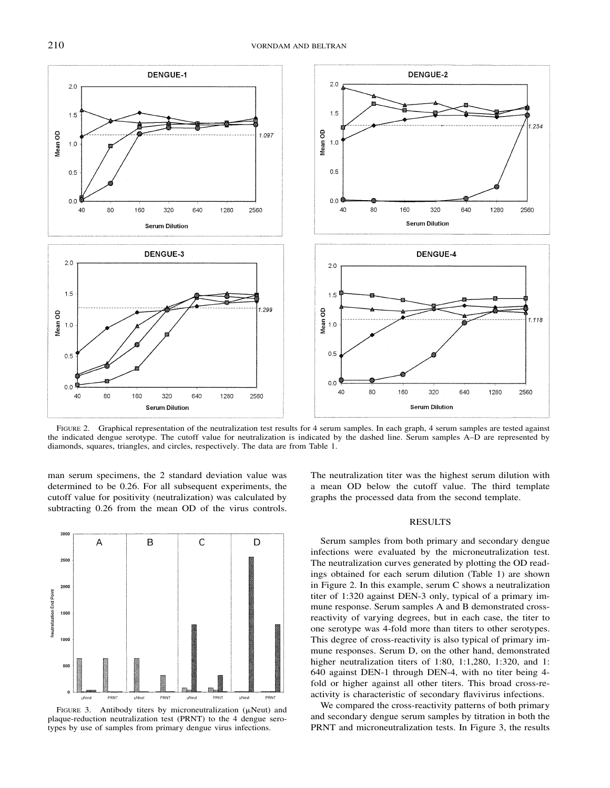

FIGURE 2. Graphical representation of the neutralization test results for 4 serum samples. In each graph, 4 serum samples are tested against the indicated dengue serotype. The cutoff value for neutralization is indicated by the dashed line. Serum samples A–D are represented by diamonds, squares, triangles, and circles, respectively. The data are from Table 1.

man serum specimens, the 2 standard deviation value was determined to be 0.26. For all subsequent experiments, the cutoff value for positivity (neutralization) was calculated by subtracting 0.26 from the mean OD of the virus controls.



FIGURE 3. Antibody titers by microneutralization ( $\mu$ Neut) and plaque-reduction neutralization test (PRNT) to the 4 dengue serotypes by use of samples from primary dengue virus infections.

The neutralization titer was the highest serum dilution with a mean OD below the cutoff value. The third template graphs the processed data from the second template.

#### RESULTS

Serum samples from both primary and secondary dengue infections were evaluated by the microneutralization test. The neutralization curves generated by plotting the OD readings obtained for each serum dilution (Table 1) are shown in Figure 2. In this example, serum C shows a neutralization titer of 1:320 against DEN-3 only, typical of a primary immune response. Serum samples A and B demonstrated crossreactivity of varying degrees, but in each case, the titer to one serotype was 4-fold more than titers to other serotypes. This degree of cross-reactivity is also typical of primary immune responses. Serum D, on the other hand, demonstrated higher neutralization titers of 1:80, 1:1,280, 1:320, and 1: 640 against DEN-1 through DEN-4, with no titer being 4 fold or higher against all other titers. This broad cross-reactivity is characteristic of secondary flavivirus infections.

We compared the cross-reactivity patterns of both primary and secondary dengue serum samples by titration in both the PRNT and microneutralization tests. In Figure 3, the results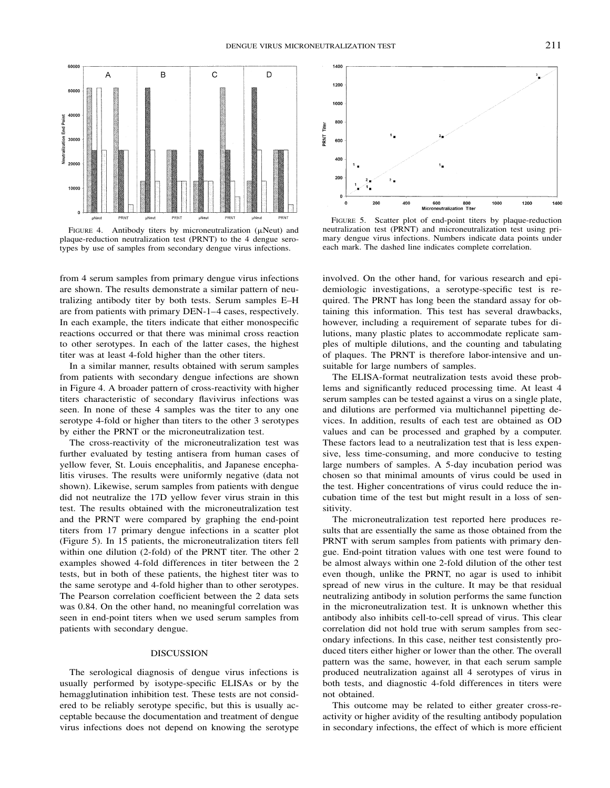

FIGURE 4. Antibody titers by microneutralization  $(\mu$ Neut) and plaque-reduction neutralization test (PRNT) to the 4 dengue serotypes by use of samples from secondary dengue virus infections.

from 4 serum samples from primary dengue virus infections are shown. The results demonstrate a similar pattern of neutralizing antibody titer by both tests. Serum samples E–H are from patients with primary DEN-1–4 cases, respectively. In each example, the titers indicate that either monospecific reactions occurred or that there was minimal cross reaction to other serotypes. In each of the latter cases, the highest titer was at least 4-fold higher than the other titers.

In a similar manner, results obtained with serum samples from patients with secondary dengue infections are shown in Figure 4. A broader pattern of cross-reactivity with higher titers characteristic of secondary flavivirus infections was seen. In none of these 4 samples was the titer to any one serotype 4-fold or higher than titers to the other 3 serotypes by either the PRNT or the microneutralization test.

The cross-reactivity of the microneutralization test was further evaluated by testing antisera from human cases of yellow fever, St. Louis encephalitis, and Japanese encephalitis viruses. The results were uniformly negative (data not shown). Likewise, serum samples from patients with dengue did not neutralize the 17D yellow fever virus strain in this test. The results obtained with the microneutralization test and the PRNT were compared by graphing the end-point titers from 17 primary dengue infections in a scatter plot (Figure 5). In 15 patients, the microneutralization titers fell within one dilution (2-fold) of the PRNT titer. The other 2 examples showed 4-fold differences in titer between the 2 tests, but in both of these patients, the highest titer was to the same serotype and 4-fold higher than to other serotypes. The Pearson correlation coefficient between the 2 data sets was 0.84. On the other hand, no meaningful correlation was seen in end-point titers when we used serum samples from patients with secondary dengue.

### DISCUSSION

The serological diagnosis of dengue virus infections is usually performed by isotype-specific ELISAs or by the hemagglutination inhibition test. These tests are not considered to be reliably serotype specific, but this is usually acceptable because the documentation and treatment of dengue virus infections does not depend on knowing the serotype



FIGURE 5. Scatter plot of end-point titers by plaque-reduction neutralization test (PRNT) and microneutralization test using primary dengue virus infections. Numbers indicate data points under each mark. The dashed line indicates complete correlation.

involved. On the other hand, for various research and epidemiologic investigations, a serotype-specific test is required. The PRNT has long been the standard assay for obtaining this information. This test has several drawbacks, however, including a requirement of separate tubes for dilutions, many plastic plates to accommodate replicate samples of multiple dilutions, and the counting and tabulating of plaques. The PRNT is therefore labor-intensive and unsuitable for large numbers of samples.

The ELISA-format neutralization tests avoid these problems and significantly reduced processing time. At least 4 serum samples can be tested against a virus on a single plate, and dilutions are performed via multichannel pipetting devices. In addition, results of each test are obtained as OD values and can be processed and graphed by a computer. These factors lead to a neutralization test that is less expensive, less time-consuming, and more conducive to testing large numbers of samples. A 5-day incubation period was chosen so that minimal amounts of virus could be used in the test. Higher concentrations of virus could reduce the incubation time of the test but might result in a loss of sensitivity.

The microneutralization test reported here produces results that are essentially the same as those obtained from the PRNT with serum samples from patients with primary dengue. End-point titration values with one test were found to be almost always within one 2-fold dilution of the other test even though, unlike the PRNT, no agar is used to inhibit spread of new virus in the culture. It may be that residual neutralizing antibody in solution performs the same function in the microneutralization test. It is unknown whether this antibody also inhibits cell-to-cell spread of virus. This clear correlation did not hold true with serum samples from secondary infections. In this case, neither test consistently produced titers either higher or lower than the other. The overall pattern was the same, however, in that each serum sample produced neutralization against all 4 serotypes of virus in both tests, and diagnostic 4-fold differences in titers were not obtained.

This outcome may be related to either greater cross-reactivity or higher avidity of the resulting antibody population in secondary infections, the effect of which is more efficient